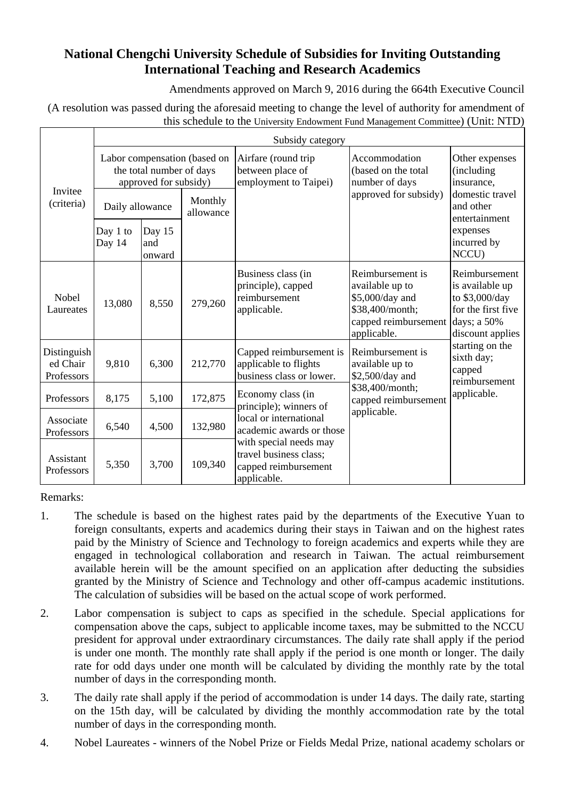## **National Chengchi University Schedule of Subsidies for Inviting Outstanding International Teaching and Research Academics**

Amendments approved on March 9, 2016 during the 664th Executive Council

(A resolution was passed during the aforesaid meeting to change the level of authority for amendment of this schedule to the University Endowment Fund Management Committee) (Unit: NTD)

|                                       | Subsidy category                                                                  |                         |                      |                                                                                                                                                             |                                                                                                                  |                                                                                                                                                                         |
|---------------------------------------|-----------------------------------------------------------------------------------|-------------------------|----------------------|-------------------------------------------------------------------------------------------------------------------------------------------------------------|------------------------------------------------------------------------------------------------------------------|-------------------------------------------------------------------------------------------------------------------------------------------------------------------------|
| Invitee<br>(criteria)                 | Labor compensation (based on<br>the total number of days<br>approved for subsidy) |                         |                      | Airfare (round trip<br>between place of<br>employment to Taipei)                                                                                            | Accommodation<br>(based on the total<br>number of days                                                           | Other expenses<br>(including)<br>insurance,                                                                                                                             |
|                                       | Daily allowance                                                                   |                         | Monthly<br>allowance |                                                                                                                                                             | approved for subsidy)                                                                                            | domestic travel<br>and other<br>entertainment                                                                                                                           |
|                                       | Day 1 to<br>Day 14                                                                | Day 15<br>and<br>onward |                      |                                                                                                                                                             |                                                                                                                  | expenses<br>incurred by<br>NCCU)                                                                                                                                        |
| Nobel<br>Laureates                    | 13,080                                                                            | 8,550                   | 279,260              | Business class (in<br>principle), capped<br>reimbursement<br>applicable.                                                                                    | Reimbursement is<br>available up to<br>\$5,000/day and<br>\$38,400/month;<br>capped reimbursement<br>applicable. | Reimbursement<br>is available up<br>to \$3,000/day<br>for the first five<br>days; a 50%<br>discount applies<br>starting on the<br>sixth day;<br>capped<br>reimbursement |
| Distinguish<br>ed Chair<br>Professors | 9,810                                                                             | 6,300                   | 212,770              | Capped reimbursement is<br>applicable to flights<br>business class or lower.                                                                                | Reimbursement is<br>available up to<br>\$2,500/day and                                                           |                                                                                                                                                                         |
| Professors                            | 8,175                                                                             | 5,100                   | 172,875              | \$38,400/month;<br>Economy class (in<br>capped reimbursement<br>principle); winners of<br>applicable.<br>local or international<br>academic awards or those | applicable.                                                                                                      |                                                                                                                                                                         |
| Associate<br>Professors               | 6,540                                                                             | 4,500                   | 132,980              |                                                                                                                                                             |                                                                                                                  |                                                                                                                                                                         |
| Assistant<br>Professors               | 5,350                                                                             | 3,700                   | 109,340              | with special needs may<br>travel business class;<br>capped reimbursement<br>applicable.                                                                     |                                                                                                                  |                                                                                                                                                                         |

Remarks:

- 1. The schedule is based on the highest rates paid by the departments of the Executive Yuan to foreign consultants, experts and academics during their stays in Taiwan and on the highest rates paid by the Ministry of Science and Technology to foreign academics and experts while they are engaged in technological collaboration and research in Taiwan. The actual reimbursement available herein will be the amount specified on an application after deducting the subsidies granted by the Ministry of Science and Technology and other off-campus academic institutions. The calculation of subsidies will be based on the actual scope of work performed.
- 2. Labor compensation is subject to caps as specified in the schedule. Special applications for compensation above the caps, subject to applicable income taxes, may be submitted to the NCCU president for approval under extraordinary circumstances. The daily rate shall apply if the period is under one month. The monthly rate shall apply if the period is one month or longer. The daily rate for odd days under one month will be calculated by dividing the monthly rate by the total number of days in the corresponding month.
- 3. The daily rate shall apply if the period of accommodation is under 14 days. The daily rate, starting on the 15th day, will be calculated by dividing the monthly accommodation rate by the total number of days in the corresponding month.
- 4. Nobel Laureates winners of the Nobel Prize or Fields Medal Prize, national academy scholars or